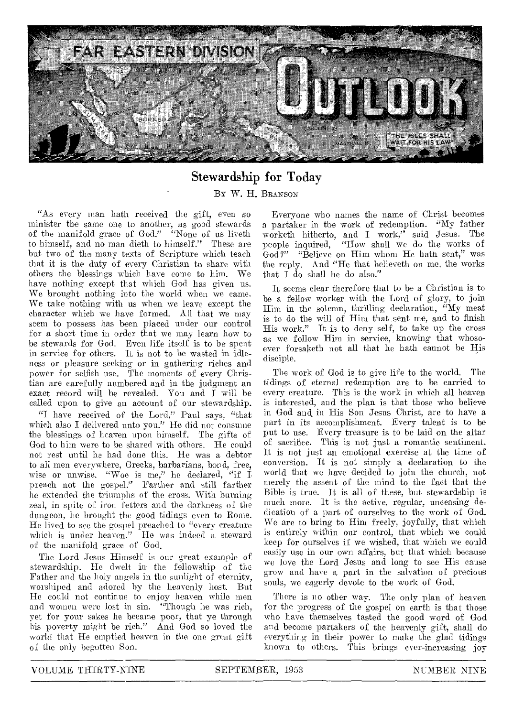

# Stewardship for Today

By W. H. BRANSON

"As every man bath received the gift, even so minister the same one to another, as good stewards of the manifold grace of God." "None of us liveth to himself, and no man dieth to himself." These are but two of the many texts of Scripture which teach that it is the duty of every Christian to share with others the blessings which have come to him. We have nothing except that which God has given us. We brought nothing into the world when **we** came. We take nothing with us when we leave except the character which we have formed. All that we may seem to possess has been placed under our control for a short time in order that we may learn how to be stewards for God. Even life itself is to be spent in service for others. It is not to be wasted in idleness or pleasure seeking or in gathering riches and power for selfish use. The moments of every Christian are carefully numbered and in the judgment an exact record will be revealed. You and I will be called upon to give an account of our stewardship.

"I have received of the Lord," Paul says, "that which also I delivered unto you." He did not consume the blessings of heaven upon himself. The gifts of God to him were to be shared with others. He could not rest until he had done this. He was a debtor to all men everywhere, Greeks, barbarians, bond, free, wise or **unwise.** "Woe is me," he declared, "if I preach not **the** gospel." Farther and still farther lie extended the triumphs of the cross. With burning **zeal,** in spite of iron fetters and the darkness of the dungeon, he brought the **good** tidings **even** to Rome. He lived to see the **gospel** preached to **"every** creature which is under **heaven." He** was **indeed a** steward of the manifold grace of God,

The Lord Jesus Himself is our great example of stewardship. He dwelt in the fellowship of the Father and the holy angels in the sunlight of eternity, worshiped and adored by the heavenly host. But He could not continue to enjoy heaven while men and women were lost in sin. "Though he was rich, yet for your sakes he became poor, that ye through his poverty might be rich." And God so loved the world that He emptied heaven in the one great gift of the only begotten Son.

Everyone who names the name of Christ becomes a partaker in the work of redemption. "My father worketh hitherto, and I work," said Jesus. The people inquired, "How shall we do the works of God?" "Believe on Him whom He hath sent," was the reply. And "He that believeth on me, the works that I do shall he do also."

It seems clear therefore that to be a Christian is to be a fellow worker with the Lord of glory, to join Him in the solemn, thrilling declaration, "My meat is to do the will of Him that sent me, and to finish His work." It is to deny self, to take up the cross as we follow Him in service, knowing that whosoever forsaketh not all that he hath cannot be His disciple.

The work of God is to give life to the world. The tidings of eternal redemption are to be carried to every creature. This is the work in which all heaven is interested, and the plan is that those who believe in God and in His Son Jesus Christ, are to have a part in its accomplishment. Every talent is to be put to use. Every treasure is to be laid on the altar of sacrifice. This is not just a romantic sentiment. It is not just an emotional exercise at the time of conversion. It is not simply a declaration to the world that we have decided to join the church, not merely the assent of the mind to the fact that the Bible is true. It is all of these, but stewardship is much more. It is the active, regular, unceasing dedication of a part of ourselves to the work of God. We are to bring to Him freely, joyfully, that which is entirely within our control, that which we could keep for ourselves if we wished, that which we could easily use in our own affairs, but that which because **we love** the Lord Jesus and long to see His cause **grow** and have a part in the salvation of precious souls, we eagerly devote to the work of God.

There **is** no other way. The only plan of heaven for the progress of the gospel on earth is that those who have themselves tasted the good word of God and become partakers of the heavenly gift, shall do everything in their power to make the glad tidings known to others. This brings ever-increasing joy

**VOLUME THIRTY-NINE SEPTEMBER, 1953 NUMBER NINE**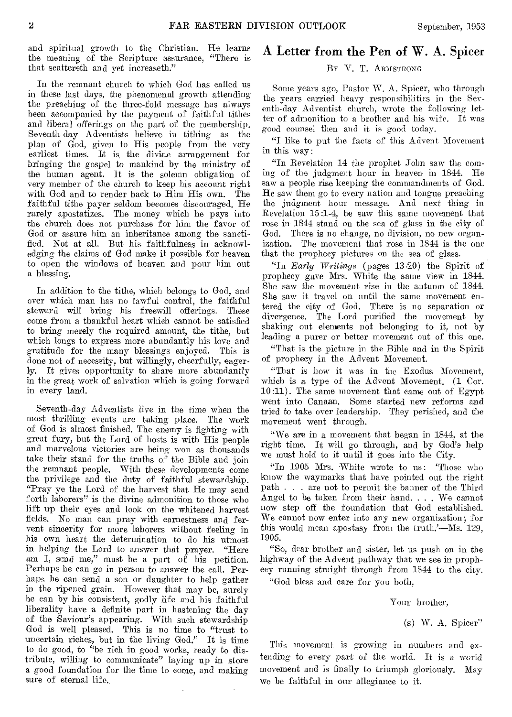and spiritual growth to the Christian. He learns the meaning of the Scripture assurance, "There is that scattereth and yet increaseth."

In the remnant church to which God has called us in these last days, the phenomenal growth attending the preaching of the three-fold message has always been accompanied by the payment of faithful tithes and liberal offerings on the part of the membership. Seventh-day Adventists believe, in tithing as the plan of God, given to His people from the very earliest times. It is, the divine arrangement for bringing the gospel to mankind by the ministry of the human agent. It is the solemn obligation of very member of the church to keep his account right with God and to render back to Him His own. The faithful tithe payer seldom becomes discouraged. He rarely apostatizes. The money which be pays into the church does not purchase for him the favor of God or assure him an inheritance among the sanctified. Not at all. But his faithfulness in acknowledging the claims of God make it possible for heaven to open the windows of heaven and pour him out a blessing.

In addition to the tithe, which belongs to God, and over which man has no lawful control, the faithful steward will bring his freewill offerings. These come from a thankful heart which cannot be satisfied to bring merely the required amount, the tithe, but which longs to express more abundantly his love and gratitude for the many blessings enjoyed. This is done not of necessity, but willingly, cheerfully, eagerly. It gives opportunity to share more abundantly in the great work of salvation which is going forward in every land.

Seventh-day Adventists live in the time when the most thrilling events are taking place. The work of God is almost finished. The enemy is fighting with great fury, but the, Lord of hosts is with His people and marvelous victories are being won as thousands take their stand for the truths of the Bible and join the remnant people. With these developments come the privilege and the duty of faithful stewardship. "Pray ye the Lord of the harvest that He may send forth laborers" is the divine admonition to those who lift up their eyes and look on the whitened harvest fields. No man can pray with earnestness and fervent sincerity for more laborers without feeling in his own heart the determination to do his utmost in helping the Lord to answer that prayer. "Here am I, send me," must be a part of his petition. Perhaps he can go in person to answer the call. Perhaps he can send a son or daughter to help gather in the ripened grain. However that may be, surely he can by his consistent, godly life and his faithful liberality have a definite part in hastening the day of the Saviour's appearing. With such stewardship God is well pleased. This is no time to "trust to uncertain riches, but in the living God." It is time to do good, to "be rich in good works, ready to distribute, willing to communicate" laying up in store a good foundation for the time to come, and making sure of eternal life.

# A Letter from the Pen of W. A. Spicer BY V. T. ARMSTRONG

Some years ago, Pastor W. A. Spicer, who through the years carried heavy responsibilities in the Seventh-day Adventist church, wrote the following letter of admonition to a brother and his wife. It was good counsel then and it is good today.

"I like to put the facts of this Advent Movement in this way:

"In Revelation 14 the prophet John saw the coming of the judgment hour in heaven in 1844. He saw a people rise keeping the commandments of God. He saw them go to every nation and tongue preaching the judgment hour message. And next thing in Revelation 15:1-4, he saw this same movement that rose in 1844 stand on the sea of glass in the city of God. There is no change, no division, no new organization. The movement that rose in 1844 is the one that the prophecy pictures on the sea of glass.

"In *Early Writings* (pages 13-20) the Spirit of prophecy gave Mrs. White the same view in 1844. She saw the movement rise in the autumn of 1844. She saw it travel on until the same movement entered the city of God. There is no separation or divergence. The Lord purified the movement by shaking out elements not belonging to it, not by leading a purer or better movement out of this one.

"That is the picture in the Bible and in the Spirit of prophecy in the Advent Movement.

"That is how it was in the Exodus Movement, which is a type of the Advent Movement. (1 Cor. 10:11). The same movement that came out of Egypt went into Canaan. Some started new reforms and tried to take over leadership. They perished, and the movement went through.

"We are in a movement that began in 1844, at the right time. It will go through, and by God's help we must hold to it until it goes into the City.

"In 1905 Mrs. White wrote to us: 'Those who know the waymarks that have pointed out the right path . . are not to permit the banner of the Third Angel to be taken from their hand. . . . We cannot now step off the foundation that God established. We cannot now enter into any new organization; for this would mean apostasy from the truth.'—Ms. 129, 1905.

"So, dear brother and sister, let us push on in the highway of the Advent pathway that we see in prophecy running straight through from 1844 to the city.

"God bless and care for you both,

Your brother,

(s) W. A. Spicer"

This movement is growing in numbers and extending to every part of the world. It is *a* world movement and is finally to triumph gloriously. May we be faithful in our allegiance to it.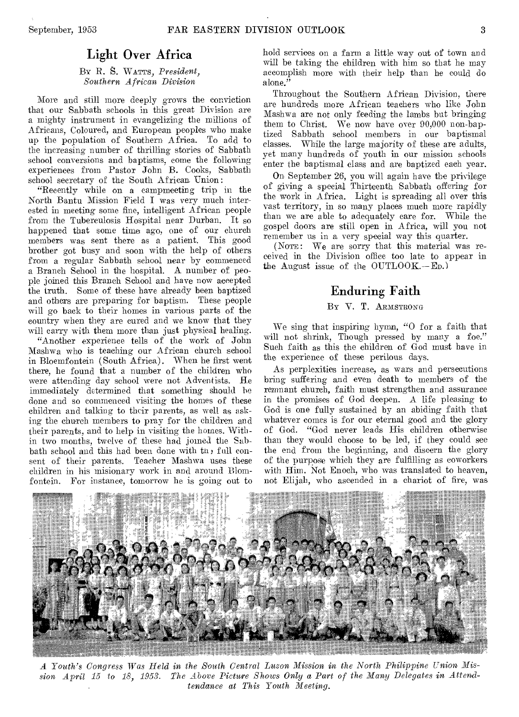### Light Over Africa

BY R. S. WATTS, *President, Southern African Division* 

More and still more deeply grows the conviction that our Sabbath schools in this great Division are a mighty instrument in evangelizing the millions of Africans, Coloured, and European peoples who make up the population of Southern Africa. To add to the increasing number of thrilling stories of Sabbath school conversions and baptisms, come the following experiences from Pastor John B. Cooks, Sabbath school secretary of the South African Union:

"Recently while on a campmeeting trip in the North Bantu Mission Field I was very much interested in meeting some fine, intelligent African people from the Tuberculosis Hospital near Durban. It so happened that some time ago, one of our church members was sent there as a patient. This good brother got busy and soon with the help of others from a regular Sabbath school near by commenced a Branch School in the hospital. A number of people joined this Branch School and have now accepted the truth. Some of these have already been baptized and others are preparing for baptism. These people will go back to their homes in various parts of the country when they are cured and we know that they will carry with them more than just physical healing.

"Another experience tells of the work of John Mashwa who is teaching our African church school in Bloemfontein (South Africa). When he first went there, he found that a number of the children who were attending day school were not Adventists. He immediately determined that something should be done and so commenced visiting the homes of these children and talking to their parents, as well as asking the church members to pray for the children and their parents, and to help in visiting the homes. Within two months, twelve of these had joined the Sabbath school and this had been done with th; full consent of their parents. Teacher Mashwa uses these children in his misionary work in and around Blomfontein. For instance, tomorrow he is going out to

hold services on a farm a little way out of town and will be taking the children with him so that he may accomplish more with their help than he could do alone."

Throughout the Southern African Division, there are hundreds more African teachers who like John Mashwa are not only feeding the lambs but bringing them to Christ. We now have over 90,000 non-baptized Sabbath school members in our baptismal classes. While the large majority of these are adults, yet many hundreds of youth in our mission schools enter the baptismal class and are baptized each year.

On September 26, you will again have the privilege of giving a special Thirteenth Sabbath offering for the work in Africa. Light is spreading all over this vast territory, in so many places much more rapidly than we are able to adequately care for. While the gospel doors are still open in Africa, will you not remember us in a very special way this quarter.

(NOTE: We are sorry that this material was received in the Division office too late to appear in the August issue of the OUTLOOK.—ED.)

### Enduring Faith

### BY V. T. ARMSTRONG

We sing that inspiring hymn, "0 for a faith that will not shrink, Though pressed by many a foe." Such faith as this the children of God must have in the experience of these perilous days.

As perplexities increase, as wars and persecutions bring suffering and even death to members of the remnant church, faith must strengthen and assurance in the promises of God deepen. A life pleasing to God is one fully sustained by an abiding faith that whatever comes is for our eternal good and the glory of God. "God never leads His children otherwise than they would choose to be led, if they could see the end from the beginning, and discern the glory of the purpose which they are fulfilling as coworkers with Him. Not Enoch, who was translated to heaven, not Elijah, who ascended in a chariot of fire, was



A *Youth's Congress Was Held in the S'outh, Central Luzon Mission in the North Philippine Union Mission April 15 to 18, 1953. The Above Picture Shows Only a Part of the Many Delegates in Attendtendance at This Youth Meeting.*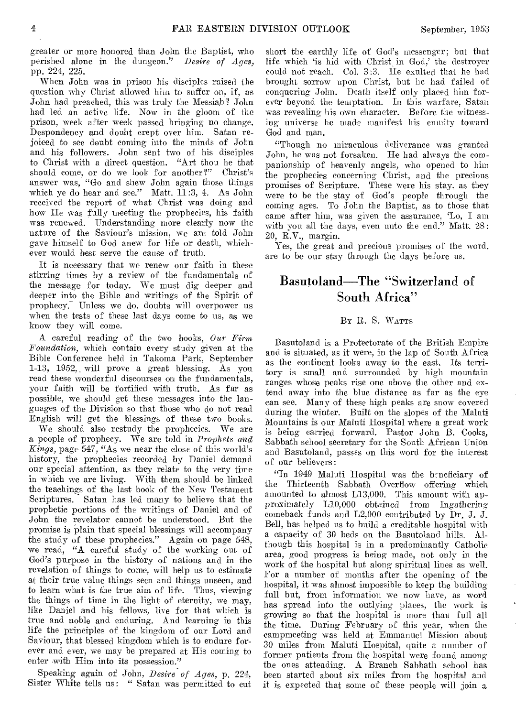greater or more honored than John the Baptist, who perished alone in the dungeon." *Desire of Ages,*  pp. 224, 225.

When John was in prison his disciples raised the question why Christ allowed him to suffer on, if, as John had preached, this was truly the Messiah? John had led an active life. Now in the gloom of the prison, week after week passed bringing no change. Despondency and doubt crept over him. Satan rejoiced to see doubt coming into the minds of John and his followers. John sent two of his disciples to Christ with a direct question. "Art thou he that should come, or do we look for another?" Christ's answer was, "Go and shew John again those things which ye do hear and see." Matt. 11:3, 4. As John received the report of what Christ was doing and how He was fully meeting the prophecies, his faith was renewed. Understanding more clearly now the nature of the Saviour's mission, we are told John gave himself to God anew for life or death, whichever would hest serve the cause of truth.

It is necessary that we renew our faith in these stirring times by a review of the fundamentals of the message for today. We must dig deeper and deeper into the Bible and writings of the Spirit of prophecy. Unless we do, doubts will overpower us when the tests of these last days come to us, as we know they will come.

A careful reading of the two books, *Our Firm Foundation,* which contain every study given at the Bible Conference held in Takoma Park, September 1-13, 1952, will prove a great blessing. As you read these wonderful discourses on the fundamentals, your faith will be fortified with truth. As far as possible, we should get these messages into the languages of the Division so that those who do not read English will get the blessings of these two books.

We should also restudy the prophecies. We are a people of prophecy. We are told in *Prophets and Kings,* page 547, "As we near the close of this world's history, the prophecies recorded by Daniel demand our special attention, as they relate to the very time in which we are living. With them should be linked the teachings of the last book of the New Testament Scriptures. Satan has led many to believe that the prophetic portions of the writings of Daniel and of John the revelator cannot be understood. But the promise is plain that special blessings will accompany the study of these prophecies." Again on page 548, we read, "A careful study of the working out of God's purpose in the history of nations and in the revelation of things to come, will help us to estimate at their true value things seen and things unseen, and to learn what is the true aim of life. Thus, viewing the things of time in the light of eternity, we may, like Daniel and his fellows, live for that which is true and noble and enduring. And learning in this life the principles of the kingdom of our Lord and Saviour, that blessed kingdom which is to endure forever and ever, we may be prepared at His coming to enter with Him into its possession."

Speaking again *of John, Desire of Ages,* p. 224, Sister White tells us: " Satan was permitted to cut short the earthly life of God's messenger; but that life which 'is hid with Christ in God,' the destroyer could not reach. Col. 3:3. He exulted that he had brought sorrow upon Christ, but he had failed of conquering John. Death itself only placed him forever beyond the temptation. In this warfare, Satan was revealing his own character. Before the witnessing universe he made manifest his enmity toward God and man.

"Though no miraculous deliverance was granted John, he was not forsaken. He had always the companionship of heavenly angels, who opened to him the prophecies concerning Christ, and the precious promises of Scripture. These were his stay. as they were to be the stay of God's people through the coming ages. To John the Baptist, as to those that came after him, was given the assurance, 'Lo, I am with you all the days, even unto the end." Matt. 28: 20, R.V., margin.

Yes, the great and precious promises of the word. are to be our stay through the days before us.

# Basutoland-The "Switzerland of South Africa"

#### BY R. S. WATTS

Basutoland is a Protectorate of the British Empire and is situated, as it were, in the lap of South Africa as the continent looks away to the east. Its territory is small and surrounded by high mountain ranges whose peaks rise one above the other and extend away into the blue distance as far as the eye can see. Many of these high peaks are snow covered during the winter. Built on the slopes of the Maluti Mountains is our Maluti Hospital where a great work is being carried forward. Pastor John B. Cooks, Sabbath school secretary for the South African Union and Basutoland, passes on this word for the interest of our believers:

"In 1949 Maluti Hospital was the beneficiary of the Thirteenth Sabbath Overflow offering which amounted to almost L13,000. This amount with approximately  $L10,000$  obtained from Ingathering comeback funds and L2,000 contributed by Dr. J. J. Bell, has helped us to build a creditable hospital with a capacity of 30 beds on the Basutoland hills. Although this hospital is in a predominantly Catholic area, good progress is being made, not only in the work of the hospital but along spiritual lines as well. For a number of months after the opening of the hospital, it was almost impossible to keep the building full but, from information we now have, as word has spread into the outlying places, the work is growing so that the hospital is more than full all the time. During February of this year, when the campmeeting was held at Emmanuel Mission about 30 miles from Maluti Hospital, quite a number of former patients from the hospital were found among the ones attending. A Branch Sabbath school has been started about six miles from the hospital and it is expected that some of these people will join a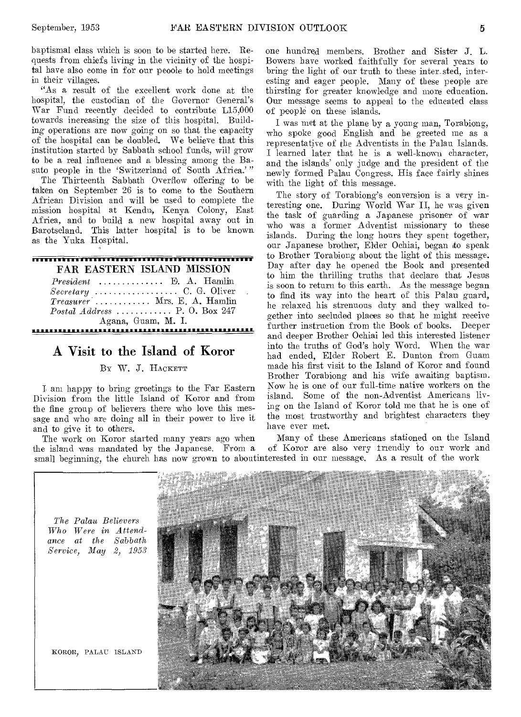baptismal class which is soon to be started here. Requests from chiefs living in the vicinity of the hospital have also come in for our peoole to hold meetings in their villages.

"As a result of the excellent work done at the hospital, the custodian of the Governor General's War Fund recently decided to contribute L15,000 towards increasing the size of this hospital. Building operations are now going on so that the capacity of the hospital can be doubled. We believe that this institution started by Sabbath school funds, will grow to be a real influence and a blessing among the Basuto people in the 'Switzerland of South Africa.'"

The Thirteenth Sabbath Overflow offering to be taken on September 26 is to come to the Southern African Division and will be used to complete the mission hospital at Kendm, Kenya Colony, East Africa, and to build a new hospital away out in Barotseland. This latter hospital is to be known as the Yuka Hospital.

### <del>nnon mannon annon annon annon ann</del> FAR EASTERN ISLAND MISSION *President* ............. E. A. Hamlin *Secretary* C. G. Oliver  $Treasure^{\cdot}$ ........... Mrs. E. A. Hamlin *Postal Address*  $\ldots$ ......... P. O. Box 247

Agana, Guam, M. I.

# A Visit to the Island of Koror

BY W. J. HACKETT

I am happy to bring greetings to the Far Eastern Division from the little Island of Koror and from the fine group of believers there who love this message and who are doing all in their power to live it and to give it to others.

The work on Koror started many years ago when Many of these Americans stationed on the Island<br>the island was mandated by the Japanese. From a of Koror are also very friendly to our work and of Koror are also very triendly to our work and small beginning, the church has now grown to aboutinterested in our message. As a result of the work



one hundred members. Brother and Sister J. L. Bowers have worked faithfully for several years to bring the light of our truth to these inter\_sted, interesting and eager people. Many of these people are thirsting for greater knowledge and more education. Our message seems to appeal to the educated class of people on these islands.

I was met at the plane by a young man, Torabiong, who spoke good English and he greeted me as a representative of the Adventists in the Palau Islands. I learned later that he is a well-known character, and the islands' only judge and the president of the newly formed Palau Congress. His face fairly shines with the light of this message.

The story of Torabiong's conversion is a very interesting one. During World War II, he was given the task of guarding a Japanese prisoner of war who was a former Adventist missionary to these islands. During the long hours they spent together, our Japanese brother, Elder Ochiai, began to speak to Brother Torabiong about the light of this message. Day after day he opened the Book and presented to him the thrilling truths that declare that Jesus is soon to return to this earth. As the message began to find its way into the heart of this Palau guard, he relaxed his strenuous duty and they walked together into secluded places so that he might receive further instruction from the Book of books. Deeper and deeper Brother Ochiai led this interested listener into the truths of God's holy Word. When the war had ended, Elder Robert E. Dunton from Guam made his first visit to the Island of Koror and found Brother Torabiong and his wife awaiting baptism. Now he is one of our full-time native workers on the island. Some of the non-Adventist Americans living on the Island of Koror told me that he is one of the most trustworthy and brightest characters they have ever met.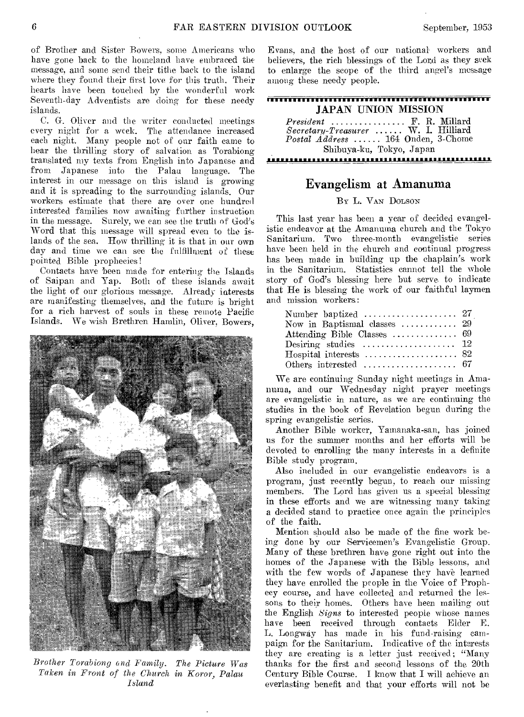of Brother and Sister Bowers, some Americans who have gone back to the homeland have embraced the message, and some send their tithe back to the island where they found their first love for this truth. Their hearts have been touched by the wonderful work Seventh-day Adventists are doing for these needy islands.

C. G. Oliver and the writer conducted meetings every night for a week. The attendance increased each night. Many people not of our faith came to hear the thrilling story of salvation as Torabiong translated my texts from English into Japanese and from Japanese into the Palau language. The interest in our message on this island is growing and it is spreading to the surrounding islands. Our workers estimate that there are over one hundred interested families now awaiting further instruction in the message. Surely, we can see the truth of God's Word that this message will spread even to the islands of the sea. How thrilling it is that in our own day and time we can see the fulfillment of these pointed Bible prophecies!

Contacts have been made for entering the Islands of Saipan and Yap. Both of these islands await the light of our glorious message. Already interests are manifesting themselves, and the future is bright for a rich harvest of souls in these remote Pacific Islands. We wish Brethren Hamlin, Oliver, Bowers,



Brother Torabiong and Family. The Picture Was *Taken in Front of the Church in Koror, Palau Island* 

Evans, and the host of our national workers and believers, the rich blessings of the Lord as they seek to enlarge the scope of the third angel's message among these needy people.

| <b>JAPAN HINION MISSION</b>                                               |
|---------------------------------------------------------------------------|
| $President$ F. R. Millard                                                 |
| Secretary-Treasurer  W. I. Hilliard<br>Postal Address  164 Onden, 3-Chome |
| Shibuya-ku, Tokyo, Japan                                                  |

# Evangelism at Amanuma

,,,,,,,,,,,,,,,,,,,,,,,,,,,,,,,,,,,,

Br L. VAN DOLSON

This last year has been a year of decided evangelistic endeavor at the Amanuma church and the Tokyo Sanitarium. Two three-month evangelistic series have been held in the church and continual progress has been made in building up the chaplain's work in the Sanitarium. Statistics cannot tell the whole story of God's blessing here but serve to indicate that He is blessing the work of our faithful laymen and mission workers:

| Number baptized $\ldots \ldots \ldots \ldots \ldots 27$ |  |
|---------------------------------------------------------|--|
| Now in Baptismal classes  29                            |  |
|                                                         |  |
| Desiring studies $12$                                   |  |
|                                                         |  |
|                                                         |  |

We are continuing Sunday night meetings in Amanuma, and our Wednesday night prayer meetings are evangelistic in nature, as we are continuing the studies in the book of Revelation begun during the spring evangelistic series.

Another Bible worker, Yamanaka-san, has joined us for the summer months and her efforts will be devoted to enrolling the many interests in a definite Bible study program.

Also included in our evangelistic endeavors is a program, just recently begun, to reach our missing members. The Lord has given us a special blessing in these efforts and we are witnessing many taking a decided stand to practice once again the principles of the faith.

Mention should also be made of the fine work being done by our Servicemen's Evangelistic Group. Many of these brethren have gone right out into the homes of the Japanese with the Bible lessons, and with the few words of Japanese they have learned they have enrolled the people in the Voice of Prophecy course, and have collected and returned the lessons to their homes. Others have been mailing out the English *Signs* to interested people whose names have been received through contacts Elder E. L. Longway has made in his fund-raising campaign for the Sanitarium. Indicative of the interests they are creating is a letter just received; "Many thanks for the first and second lessons of the 20th Century Bible Course. I know that I will achieve an everlasting benefit and that your efforts will not be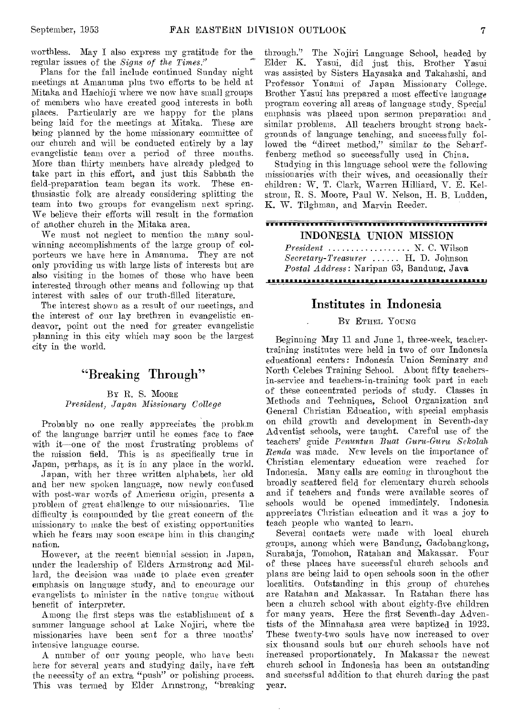worthless. May I also express my gratitude for the regular issues of the *Signs of the Times."* 

Plans for the fall include continued Sunday night meetings at Amanuma plus two efforts to be held at Mitaka and Hachioji where we now have small groups of members who have created good interests in both places. Particularly are we happy for the plans being laid for the meetings at Mitaka. These are being planned by the home missionary committee of our church and will be conducted entirely by a lay evangelistic team over a period of three months. More than thirty members have already pledged to take part in this effort, and just this Sabbath the field-preparation team began its work. These enthusiastic folk are already considering splitting the team into two groups for evangelism next spring. We believe their efforts will result in the formation of another church in the Mitaka area.

We must not neglect to mention the many soulwinning accomplishments of the large group of colporteurs we have here in Amanuma. They are not only providing us with large lists of interests but are also visiting in the homes of those who have been interested through other means and following up that interest with sales of our truth-filled literature.

The interest shown as a result of our meetings, and the interest of our lay brethren in evangelistic endeavor, point out the need for greater evangelistic planning in this city which may soon be the largest city in the world.

# "Breaking Through"

BY R. S. MOORE *President, Japan Missionary College* 

Probably no one really appreciates the problem of the language barrier until he comes face to face with it one of the most frustrating problems of the mission field. This is as specifically true in Japan, perhaps, as it is in any place in the world.

Japan, with her three written alphabets, her old and her new spoken language, now newly confused with post-war words of American origin, presents a problem of great challenge to our missionaries. The difficulty is compounded by the great concern of the missionary to make the best of existing opportunities which he fears may soon escape him in this changing nation.

However, at the recent biennial session in Japan, under the leadership of Elders Armstrong and Millard, the decision was made to place even greater emphasis on language study, and to encourage our evangelists to minister in the native tongue without benefit of interpreter.

Among the first steps was the establishment of a summer language school at Lake Nojiri, where the missionaries have been sent for a three months' intensive language course.

A number of our young people, who have been here for several years and studying daily, have felt the necessity of an extra "push" or polishing process. This was termed by Elder Armstrong, "breaking through." The Nojiri Language School, headed by Elder K. Yasui, did just this. Brother Yasui was assisted by Sisters Hayasaka and Takahashi, and Professor Yonami of Japan Missionary College. Brother Yasui has prepared a most effective language program covering all areas of language study. Special emphasis was placed upon sermon preparation and similar problems. All teachers brought strong backgrounds of language teaching, and successfully followed the "direct method," similar to the Scharffenberg method so successfully used in China.

Studying in this language school were the following missionaries with their wives, and occasionally their children: W. T. Clark, Warren Hilliard, V. E. Kelstrom, R. S. Moore, Paul W. Nelson, H. B. Ludden, K. W. Tilghman, and Marvin Reeder.

### <del>iminin marata wa kata wa Marejia wa Tanzania Mar</del> INDONESIA UNION MISSION

*President* ................. N. C. Wilson  $Secretary-Treasure$  ...... H. D. Johnson *Postal Address:* Naripan 63, Bandung, Java

#### 

## Institutes in Indonesia

#### BY ETHEL YOUNG

Beginning May 11 and June 1, three-week, teachertraining institutes were held in two of our Indonesia educational centers: Indonesia Union Seminary and North Celebes Training School. About fifty teachersin-service and teachers-in-training took part in each of these concentrated periods of study. Classes in Methods and Techniques, School Organization and General Christian Education, with special emphasis on child growth and development in Seventh-day Adventist schools, were taught. Careful use of the teachers' guide *Penuntun Buat Guru-Guru Sekolah Renda* was made. New levels on the importance of Christian elementary education were reached for Indonesia. Many calls are coming in throughout the broadly scattered field for elementary church schools and if teachers and funds were available scores of schools would be opened immediately. Indonesia appreciates Christian education and it was a joy to teach people who wanted to learn.

Several contacts were made with local church groups, among which were Bandung, Gadobangkong, Surabaja, Tomohon, Ratahan and Makassar. Four of these places have successful church schools and plans are being laid to open schools soon in the other localities. Outstanding in this group of churches are Ratahan and Makassar. In Ratahan there has been a church school with about eighty-five children for many years. Here the first Seventh-day Adventists of the Minnahasa area were baptized in 1923. These twenty-two souls have now increased to over six thousand souls but our church schools have not increased proportionately. In Makassar the newest church school in Indonesia has been an outstanding and successful addition to that church during the past year.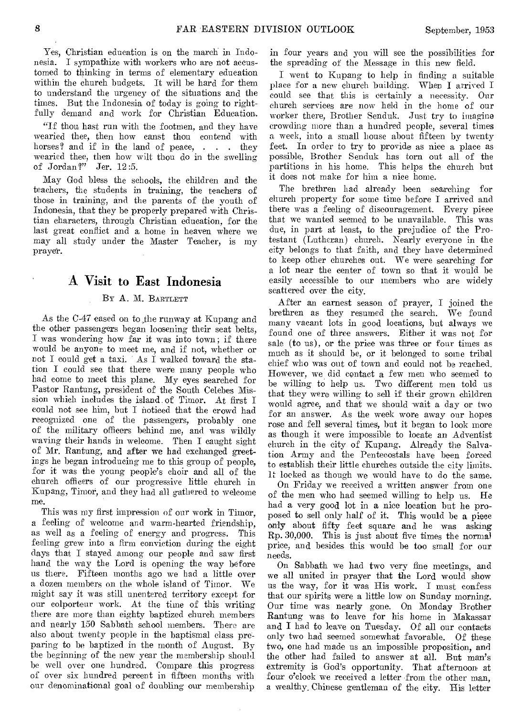Yes, Christian education is on the march in Indonesia. I sympathize with workers who are not accustomed to thinking in terms of elementary education within the church budgets. It will be hard for them to understand the urgency of the situations and the times. But the Indonesia of today is going to rightfully demand and work for Christian Education.

"If thou hast run with the footmen, and they have wearied thee, then how canst thou contend with horses? and if in the land of peace, . . . they wearied thee, then how wilt thou do in the swelling of Jordan?" Jer. 12:5.

May God bless the schools, the children and the teachers, the students in training, the teachers of those in training, and the parents of the youth of Indonesia, that they be properly prepared with Christian characters, through Christian education, for the last great conflict and a. home in heaven where we may all study under the Master Teacher, is my prayer.

# A Visit to East Indonesia

### BY A. M. BARTLETT

As the C-47 eased on to the runway at Kupang and the other passengers began loosening their seat belts, I was wondering how far it was into town; if there would be anyone to meet me, and if not, whether or not I could get a taxi. As I walked toward the station I could see that there were many people who had come to meet this plane. My eyes searched for Pastor Rantung, president of the South Celebes Mission which includes the island. of Timor. At first I could not see him, but I noticed that the crowd had recognized one of the passengers, probably one of the military officers behind me, and was wildly waving their hands in welcome. Then I caught sight of Mr. Rantung, and after we had exchanged greetings he began introducing me to this group of people, for it was the young people's choir and all of the church officers of our progressive little church in Kupang, Timor, and they had all gathered to welcome me.

This was my first impression of our work in Timor, a feeling of welcome and warm-hearted friendship, as well as a feeling of energy and progress. This feeling grew into a firm conviction during the eight days that I stayed among our people and saw first hand the way the Lord is opening the way before us there. Fifteen months ago we had a little over a dozen members on the whole island of Timor. We might say it was still unentered territory except for our colporteur work. At the time of this writing there are more than eighty baptized church members and nearly 150 Sabbath school members. There are also about twenty people in the baptismal class preparing to be baptized in the month of August. By the beginning of the new year the membership should be well over one hundred. Compare this progress of over six hundred percent in fifteen months with our denominational goal of doubling our membership

in four years and you will see the possibilities for the spreading of the Message in this new field.

I went to Kupang to help in finding a suitable place for a new church building. When I arrived I could see that this is certainly a necessity. Our church services are now held in the home of our worker there, Brother Senduk. Just try to imagine crowding more than a hundred people, several times a week, into a small house about fifteen by twenty feet. In order to try to provide as nice a place as possible, Brother Senduk has torn out all of the partitions in his home. This helps the church but it does not make for him a nice home.

The brethren had already been searching for church property for some time before I arrived and there was a feeling of discouragement. Every piece that we wanted seemed to be unavailable. This was due, in part at least, to the prejudice of the Protestant (Lutheran) church. Nearly everyone in the city belongs to that faith, and they have determined to keep other churches out. We were searching for a lot near the center of town so that it would be easily accessible to our members who are widely scattered over the city.

After an earnest season of prayer, I joined the brethren as they resumed the search. We found many vacant lots in good locations, but always we found one of three answers. Either it was not for sale (to us), or the price was three or four times as much as it should be, or it belonged to some tribal chief who was out of town and could not be reached. However, we did contact a few men who seemed to be willing to help us. Two different men told us that they were willing to sell if their grown children would agree, and that we should wait a day or two for an answer. As the week wore away our hopes rose and fell several times, but it began to look more as though it were impossible to locate an Adventist church in the city of Kupang. Already the Salvation Army and the Pentecostals have been forced to establish their little churches outside the city limits. 11: locked as though we would have to do the same.

On Friday we received a written answer from one of the men who had seemed willing to help us. He had a very good lot in a nice location but he proposed to sell only half of it. This would be a piece only about fifty feet square and he was asking Rp. 30,000. This is just about five times the normal price, and besides this would be too small for our needs.

On Sabbath we had two very fine meetings, and we all united in prayer that the Lord would show us the way, for it was His work. I must confess that our spirits were a little low on Sunday morning. Our time was nearly gone. On Monday Brother Rantung was to leave for his home in Makassar and I had to leave on Tuesday. Of all our contacts only two had seemed somewhat favorable. Of these two, one had made us an impossible proposition, and the other had failed to answer at all. But man's extremity is God's opportunity. That afternoon at four o'clock we received a letter from the other man, a wealthy\_ Chinese gentleman of the city. His letter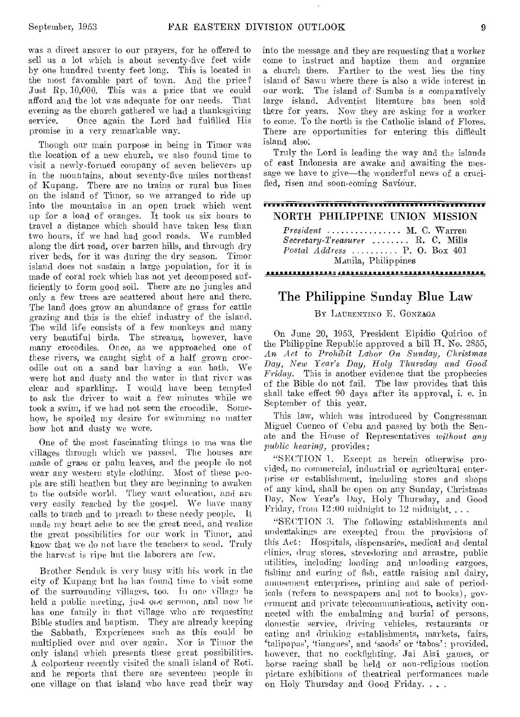was a direct answer to our prayers, for he offered to sell us a lot which is about seventy-five feet wide by one hundred twenty feet long. This is located in the most favorable part of town. And the price? Just Rp. 10,000. This was a price that we could afford and the lot was adequate for our needs. That evening as the church gathered we had a thanksgiving service. Once again the Lord had fulfilled His promise in a very remarkable way.

Though our main purpose in being in Timor was the location of a new church, we also found time to visit a newly-formed company **of seven** believers up in the mountains, about seventy-five miles northeast of Kupang. There are no trains or rural bus lines on the island of Timor, so we arranged to ride up into the mountains in an open truck which went up for a load of oranges. It took us six hours to travel a distance which should have taken less than two hours, if we had had good roads. We rumbled along the dirt road, over barren hills, and through dry river beds, for it was during the dry season. Timor island does not sustain a large population, for it is made of coral rock which has not yet decomposed sufficiently to form good soil. There are no jungles and only a few trees are scattered about here and there. The land does grow an abundance of grass for cattle grazing and this is the chief industry of the island. The wild life consists of a few monkeys and many very beautiful birds. **The streams,** however, have many crocodiles. **Once, as we** approached one of these rivers, we **caught sight of a** half grown crocodile out on a sand bar **having** a sun bath. We were hot and dusty and the water in that river was clear and sparkling. **I** would have been **tempted**  to ask the driver to wait a few minutes while we took a swim, if we had not seen the crocodile. Somehow, be spoiled my desire for swimming no matter how hot and dusty **we were.** 

One of the most fascinating things to **me was** the villages through which **we passed.** The houses are made of **grass** or palm **leaves, and** the people do not wear any western style clothing. Most of these people are still heathen but they **are** beginning to awaken to the outside world. They **want** education, and are very easily reached by the gospel. We have many calls to teach and to preach to these needy people. It made my heart ache to see the great need, and realize the great possibilities for our work in Timor, and know **that we** do not have the teachers to send. Truly the harvest is ripe but the laborers are few.

Brother Senduk is very busy with his work in the city of Kupang but he **has found** time to visit some of the surrounding villages, **too.** In one village hb held a public meeting, just **one sermon,** and now **he**  has one family in that village who are requesting Bible studies and baptism. They are already keeping the Sabbath. Experiences such as this could be multiplied over and **over again. Nor** is Timor the only island which presents **these** great possibilities. A colporteur recently visited **the small** island of Roti. and he reports that there are seventeen people in one village on that island who have read their way into the message and they are requesting that a worker come to instruct and baptize them and organize a church there. Farther to the west lies the tiny island of Sawn where there is also **a** wide interest in our work. The island of Sumba is a comparatively large island. Adventist literature has been sold there for years. Now they are asking for a worker to come. To the north is the Catholic island of Flores. There are opportunities for entering this difficult island also:

Truly the Lord is leading the way and the islands of east Indonesia are awake and awaiting the message we have to give—the wonderful news of a crucified, risen and soon-coming Saviour.

#### <del>ivitinin muutumanonin maanna</del> NORTH PHILIPPINE UNION MISSION

*President* .............. M. C. Warren *Secretary-Treasurer* ....... R. C. Mills *Postal Address .........* P. O. Box 401 **Manila, Philippines** 

### The Philippine Sunday Blue Law

#### BY LAURENTINO E. GONZAGA

On June 20, 1953, President Elpidio Quirino of the Philippine Republic approved a bill H. No. 2855, *An Act to Prohibit Labor On Sunday, Christmas*  **Day,** *New Year's Day, Holy Thursday and Good Friday.* This is another evidence that the prophecies of the Bible do not fail. The law provides that this shall take effect 90 days after its approval, i. e. in September of this year.

This law, which **was** introduced by Congressman Miguel Cuenco of **Cebu** and passed by both the Senate and the House of Representatives *without any public hearing,* provides:

"SECTION **1.** Except as herein otherwise provided, no commercial, industrial or agricultural enterprise or establishment, including stores and shops of any kind, shall be open on any **Sunday,** Christmas Day, *New* Year's Day, Holy Thursday, and Good Friday, from  $12:00$  midnight to  $12$  midnight...

"SECTION 3. The following establishments and undentakings are excepted from the provisions of this Act: **Hospitals, dispensaries,** medical and dental clinics, drug stores, stevedoring and arrastre, public utilities, including loading and unloading cargoes, fishing and curing of fish, cattle raising and dairy, amusement enterprises, printing and sale of periodicals (refers to newspapers and not to books), government and private telecommunications, activity connected with the embalming and burial of persons, domestic service, driving vehicles, restaurants or eating and drinking establishments, markets, fairs, `talipapas', (tiangues', **and** 'saods' or 'taloos': provided, however, **that** no cockfighting, Jai Alai games, or horse racing shall be held or non-religious motion picture exhibitions of theatrical performances made on Holy Thursday and Good Friday. . . .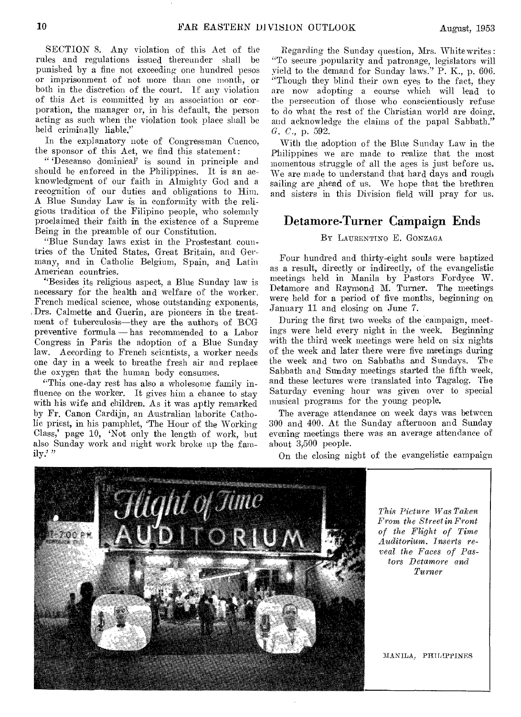SECTION S. Any violation of this Act of the rules and regulations issued thereunder shall be punished by a fine not exceeding one hundred pesos or imprisonment of not more than one month, or both in the discretion of the court. If any violation of this Act is committed by an association or corporation, the manager or, in his default, the person acting as such when the violation took place shall be held criminally liable."

In the explanatory note of Congressman Cuenco, the sponsor of this Act, we find this statement:

"Descanso dominical? is sound in principle and should be enforced in the Philippines. It is an acknowledgment of our faith in Almighty God and a recognition of our duties and obligations to Him. A Blue Sunday Law is in conformity with the religious tradition of the Filipino people, who solemnly proclaimed their faith in the existence of a Supreme Being in the preamble of our Constitution.

"Blue Sunday laws exist in the Prostestant countries of the United States, Great Britain, and Germany, and in Catholic Belgium, Spain, and Latin American countries.

"Besides its religious aspect, a Blue Sunday law is necessary for the health and welfare of the worker. French medical science, whose outstanding exponents, Drs. Calmette and Guerin, are pioneers in the treatment of tuberculosis—they are the authors of BCG preventive formula — has recommended to a Labor Congress in Paris the adoption of a Blue Sunday law. According to French scientists, a worker needs one day in a week to breathe fresh air and replace the oxygen that the human body consumes.

"This one-day rest has also a wholesome family influence on the worker. It gives him a chance to stay with his wife and children. As it was aptly remarked by Fr. Canon Cardijn, an Australian laborite Catholic priest, in his pamphlet, 'The Hour of the Working Class,' page 10, 'Not only the length of work, but also Sunday work and night work broke up the fam-<br>ily.'"

Regarding the Sunday question, Mrs. White writes : "To secure popularity and patronage, legislators will yield to the demand for Sunday laws.'' P. K., p. 606. "Though they blind their own eyes to the fact, they are now adopting a course which will lead to the persecution of those who conscientiously refuse to do what the rest of the Christian world are doing, and acknowledge the claims of the papal Sabbath." *G. C.,* p. 592.

With the adoption of the Blue Sunday Law in the Philippines we are made to realize that the most momentous struggle of all the ages is just before us. We are made to understand that hard days and rough sailing are ahead of us. We hope that the brethren and sisters in this Division field will pray for us.

### Detamore-Turner Campaign Ends

#### Br LAURENTINO E. GONZAGA

Four hundred and thirty-eight souls were baptized as a result, directly or indirectly, of the evangelistic meetings held in Manila by Pastors Fordyce W. Detamore and Raymond M. Turner. The meetings were held for a period of five months, beginning on January 11 and closing on June 7.

During the first two weeks of the campaign, meetings were held every night in the week. Beginning with the third week meetings were held on six nights of the week and later there were five meetings during the week and two on Sabbaths and Sundays. The Sabbath and Sunday meetings started the fifth week, and these lectures were translated into Tagalog. The Saturday evening hour was given over to special musical programs for the young people.

The average attendance on week days was between 300 and 400. At the Sunday afternoon and Sunday evening meetings there was an average attendance of about 3,500 people.

On the closing night of the evangelistic campaign

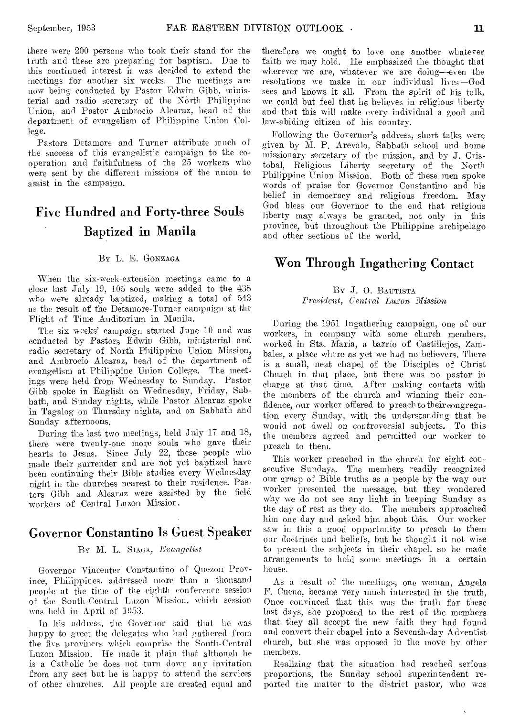there were 200 persons who took their stand for the truth and these are preparing for baptism. Due to this continued interest it was decided to extend the meetings for another six weeks. The meetings are now being conducted by Pastor Edwin Gibb, ministerial and radio secretary of the North Philippine Union, and Pastor Ambrocio Alcaraz, head of the department of evangelism of Philippine Union College.

Pastors Detamore and Turner attribute much of the success of this evangelistic campaign to the cooperation and faithfulness of the 25 workers who were sent by the different missions of the union to assist in the campaign.

# Five Hundred and Forty-three Souls Baptized in Manila

#### BY L. E. GONZAGA

When the six-week-extension meetings came to a close last July 19, 105 souls were added to the 438 who were already baptized, making a total of 543 as the result of the Detamore-Turner campaign at the Flight of Time Auditorium in Manila.

The six weeks' campaign started June 10 and was conducted by Pastors Edwin Gibb, ministerial and radio secretary of North Philippine Union Mission, and Ambrocio Alcaraz, head of the department of evangelism at Philippine Union College. The meetings were held from Wednesday to Sunday. Pastor Gibb spoke in English on Wednesday, Friday, Sabbath, and Sunday nights, while Pastor Alcaraz spoke in Tagalog on Thursday nights, and on Sabbath and Sunday afternoons.

During the last, two meetings, held July 17 and 18, there were twenty-one more souls who gave their hearts to Jesus. Since July 22, these people who made their surrender and are not yet baptized have been continuing their Bible studies every Wednesday night in the churches nearest to their residence. Pastors Gibb and Alcaraz were assisted by the field workers of Central Luzon Mission.

# Governor Constantino Is Guest Speaker

#### BY M. L. SIAGA, *Evangelist*

Governor Vinceuter Constantino of Quezon Province, Philippines, addressed more than a thousand people at the time of the eighth conference session of the South-Central Luzon Mission, which session was held in April of 1953.

In his address, the Governor said that he was happy to greet the delegates who had gathered from the five provinces which comprise the South-Central Luzon Mission. He made it plain that although he is a Catholic he does not -turn down any invitation from any sect but he is happy to attend the services of other churches. All people are created equal and

therefore we ought to love one another whatever faith we may hold. He emphasized the thought that wherever we are, whatever we are doing—even the resolutions we make in our individual lives—God sees and knows it all. From the spirit of his talk, we could but feel that he believes in religious liberty and that this will make every individual a good and law-abiding citizen of his country.

Following the Governor's address, short talks were given by M. P. Arevalo, Sabbath school and home missionary secretary of the mission, and by J. Cristobal, Religious Liberty secretary of the North Philippine Union Mission. Both of these men spoke words of praise for Governor Constantino and his belief in democracy and religious freedom. May God bless our Governor to the end that religious liberty may always be granted, not only in this province, but throughout the Philippine archipelago and other sections of the world.

# Won Through Ingathering Contact

#### BY J. 0. BAUTISTA *President, Central Luzon Mission*

During the 1951 Ingathering campaign, one of our workers, in company with some church members, worked in Sta. Maria, a barrio of Castillejos, Zambales, a place where as yet we had no believers. There is a small, neat chapel of the Disciples of Christ Church in that place, but there was no pastor in charge at that time. After making contacts with the members of the church and winning their confidence, our worker offered to preach to their congregation every Sunday, with the understanding that he would not dwell on controversial subjects.. To this the members agreed and permitted our worker to preach to them.

This worker preached in the church for eight consecutive Sundays. The members readily recognized our grasp of Bible truths as a people by the way our worker presented the message, but they wondered why we do not see any light in keeping Sunday as the day of rest as they do. The members approached him one day and asked him about this. Our worker saw in this a good opportunity to preach to them our doctrines and beliefs, but he thought it not wise to present the subjects in their chapel, so he made arrangements to hold some meetings in a certain house.

As a result of the meetings, one woman, Angela F. Cueno, became very much interested in the truth, Once convinced that this was the truth for these last days, she proposed to the rest of the members that they all accept the new faith they had found and convert their chapel into a Seventh-day Adventist church, but .she was opposed in the move by other members.

Realizing that the situation had reached serious proportions, the Sunday school superintendent reported the matter to the district pastor, who was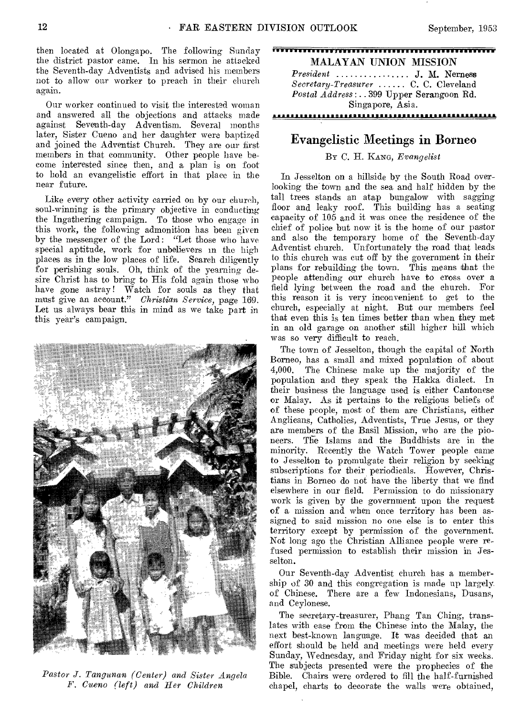then located at Olongapo. The following Sunday the district pastor came. In his sermon he attacked the Seventh-day Adventists and advised his members not to allow our worker to preach in their church again.

Our worker continued to visit the interested woman and answered all the objections and attacks made against Seventh-day Adventism. Several months later, Sister Cueno and her daughter were baptized and joined the Adventist Church. They are our first members in that community. Other people have become interested since then, and a plan is on foot to hold an evangelistic effort in that place in the near future.

Like every other activity carried on by our church, soul-winning is the primary objective in conducting the Ingathering campaign. To those who engage in this work, the following admonition has been given by the messenger of the Lord: "Let those who have special aptitude, work for unbelievers in the high places as in the low places of life. Search diligently for perishing souls. Oh, think of the yearning desire Christ has to bring to His fold again those who have gone astray! Watch for souls as they that must give an account." *Christian Service,* page 169. Let us always bear this in mind as we take part in this year's campaign.



*Pastor J. Tangunan (Center) and Sister Angela F. Cueno (left) and Her Children* 

*President* ................ J. M. Nerness Secretary-Treasurer ...... C. C. Cleveland *Postal Address: ..* 399 Upper Serangoon Rd. Singapore, Asia.

#### 

### Evangelistic Meetings in Borneo

#### BY C. H. KANG, *Evangelist*

In Jesselton on a hillside by the South Road overlooking the town and the sea and half hidden by the tall trees stands an atap bungalow with *sagging*  floor and leaky roof. This building has a seating capacity of 105 and it was once the residence of the chief of police but now it is the home of our pastor and also the temporary home of the Seventh-day Adventist church. Unfortunately the road that leads to this church was cut off by the government in their plans for rebuilding the town. This means that the people attending our church have to cross over a field lying between the road and the church. For this reason it is very inconvenient to get to the church, especially at night. But our members feel that even this is ten times better than when they met in an old garage on another still higher hill which was so very difficult to reach.

The town of Jesselton, though the capital of North Borneo, has a small and mixed population of about 4,000. The Chinese make up the majority of the population and they speak the Hakka dialect. In their business the language used is either Cantonese or Malay. As it pertains to the religious beliefs of of these people, most of them are Christians, either Anglicans, Catholics, Adventists, True Jesus, or they are members of the Basil Mission, who are the pioneers. The Islams and the Buddhists are in the minority. Recently the Watch Tower people came to Jesselton to promulgate their religion by seeking subscriptions for their periodicals. However, Christians in Borneo do not have the liberty that we find elsewhere in our field. Permission to do missionary work is given by the government upon the request of a mission and when once territory has been assigned to said mission no one else is to enter this territory except by permission of the government. Not long ago the Christian Alliance people were refused permission to establish their mission in Jesselton.

Our Seventh-day Adventist church has a membership of 30 and this congregation is made up largely. of Chinese. There are a few Indonesians, Dusans, and Ceylonese.

The secretary-treasurer, Phang Tan Ching, translates with ease from the Chinese into the Malay, the next best-known language. It was decided that an effort should be held and meetings were held every Sunday, Wednesday, and Friday night for six weeks. The subjects presented were the prophecies of the Bible. Chairs were ordered to fill the half-furnished chapel, charts to decorate the walls were obtained,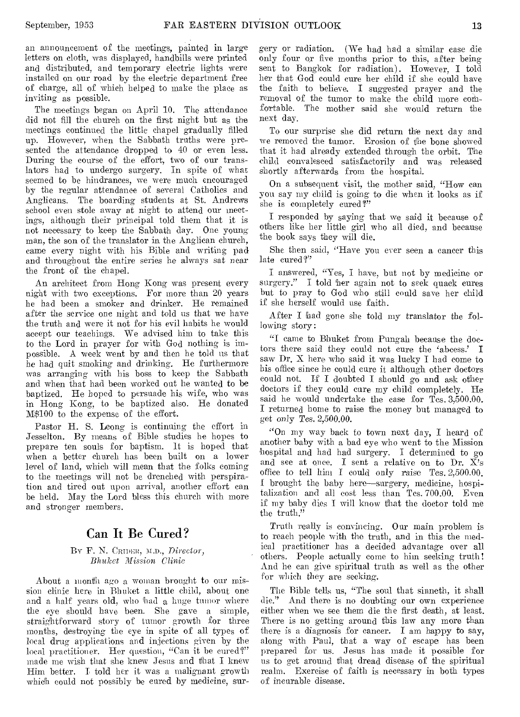an announcement of the meetings, painted in large letters on cloth, was displayed, handbills were printed and distributed, and temporary electric lights were installed on our road by the electric department free of charge, all of which helped to make the place as inviting as possible.

The meetings began on April 10. The attendance did not fill the church on the first night but as the meetings continued the little chapel gradually filled up. However, when the Sabbath truths were presented the attendance dropped to 40 or even less. During the course of the effort, two of our translators had to undergo surgery. In spite of what seemed to be hindrances, *we* were much encouraged by the regular attendance of several Catholics and Anglicans. The boarding students at St. Andrews school even stole away at night to attend our meetings, although their principal told them that it is not necessary to keep the Sabbath day. One young man, the son of the translator in the Anglican church, came every night with his Bible and writing pad and throughout the entire series he always sat near the front of the chapel.

An architect from Hong Kong was present every night with two exceptions. For more than 20 years he had been a smoker and drinker. He remained after the service one night and told us that we have the truth and were it not for his evil habits he would accept our teachings. We advised him to take this to the Lord in prayer for with God nothing is impossible. A week went by and then he told us that he had quit smoking and drinking. He furthermore was arranging with his boss to keep the Sabbath and when that had been worked out he wanted to be baptized. He hoped to persuade his wife, who was in Hong Kong, to be baptized also. He donated M\$100 to the expense of the effort.

Pastor H. S. Leong is continuing the effort in Jesselton. By means of Bible studies he hopes to prepare ten souls for baptism. It is hoped that when a better church has been built on a lower level of land, which will mean that the folks coming to the meetings will not be drenched with perspiration and tired out upon arrival, another effort can be held. May the Lord bless this church with more and stronger members.

### Can It Be Cured?

#### BY F. N. CRIDER, M.D., *Director*, *Bhukct Mission Clinic*

About a month ago a woman brought to our mission clinic here in Bhuket a little child, about one and a half years old, who had a huge tumor where the eye should have been. She gave a simple, straightforward story of tumor growth for three months, destroying the eye in spite of all types of local drug applications and injections given by the local practitioner. Her question, "Can it be cured?" made me wish that she knew Jesus and that I knew Him better. I told her it was a malignant growth which could not possibly be cured by medicine, surgery or radiation. (We had had a similar case die only four or five months prior to this, after being sent to Bangkok for radiation). However, I told her that God could cure her child if she could have the faith to believe. I suggested prayer and the removal of the tumor to make the child more comfortable. The mother said she would return the next day.

To our surprise she did return the next day and we removed the tumor. Erosion of the bone showed that it had already extended through the orbit. The child convalesced satisfactorily and was released shortly afterwards from the hospital.

On a subsequent visit, the mother said, "How can you say my child is going to die when it looks as if she is completely cured?"

I responded by saying that we said it because of others like her little girl who all died, and because the book says they will die.

She then said, "Have you ever seen a cancer this late cured?"

I answered, "Yes, I have, but not by medicine or surgery." I told her again not to seek quack cures but to pray to God who still could save her child if she herself would use faith.

After I had gone she told my translator the following story:

"I came to Bhuket from Fungah because the doctors there said they could not cure the `abcess.' I saw Dr. X here who said it was lucky I had come to his office since he could cure it although other doctors could not. If I doubted I should go and ask other doctors if they could cure my child completely. He said he would undertake the case for Tes. 3,500.00. I returned home to raise the money but managed to get only *Tcs.* 2,500.00.

"On my way back to town next day, I heard of another baby with a bad eye who went to the Mission hospital and had had surgery. I determined to go and see at once. I sent a relative on to Dr.  $\bar{X}$ 's office to tell him I could only raise Tes. 2,500.00. I brought the baby here—surgery, medicine, hospitalization and all cost less than Tes. 700.00. Even if my baby dies I will know that the doctor told me the truth."

Truth really is convincing. Our main problem is to reach people with the truth, and in this the medical practitioner has a decided advantage over all others. People actually come to him seeking truth! And he can give spiritual truth as well as the other for which they are seeking.

The Bible tells us, "The soul that sinneth, it shall die." And there is no doubting our own experience either when we, see them die the first death, at least. There is no getting around this law any more than there is a diagnosis for cancer. I am happy to say, along with Paul, that a way of escape has been prepared for us. Jesus has made it possible for us to get around that dread disease of the spiritual realm. Exercise of faith is necessary in both types of incurable disease.